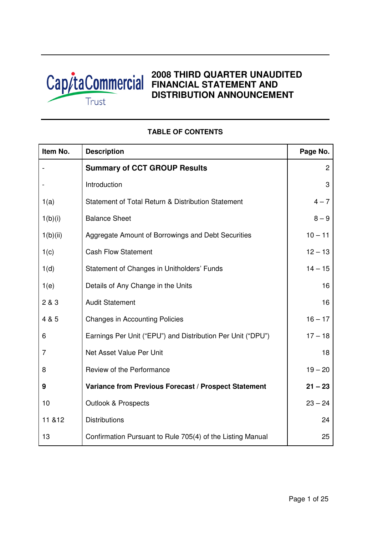

# **2008 THIRD QUARTER UNAUDITED Cap/taCommercial EINANCIAL STATEMENT AND DISTRIBUTION ANNOUNCEMENT**

# **Item No.** Description **Page No.** Page No. - **Summary of CCT GROUP Results** 2 - Introduction and a set of the set of the set of the set of the set of the set of the set of the set of the s 1(a) Statement of Total Return & Distribution Statement  $4-7$  $1(b)(i)$  Balance Sheet 8 – 9 1(b)(ii) Aggregate Amount of Borrowings and Debt Securities 10 – 11 1(c) Cash Flow Statement 12 – 13 1(d) Statement of Changes in Unitholders' Funds 14 – 15 1(e) Details of Any Change in the Units 16 2 & 3 Audit Statement 16 4 & 5 Changes in Accounting Policies 16 – 17 6 Earnings Per Unit ("EPU") and Distribution Per Unit ("DPU") 17 – 18 7 **Net Asset Value Per Unit 18** and 18 8 Review of the Performance 19 – 20 **9 Variance from Previous Forecast / Prospect Statement 21 – 23** 10 Outlook & Prospects 23 – 24 11 &12 Distributions 24 13 **Confirmation Pursuant to Rule 705(4) of the Listing Manual** 25

## **TABLE OF CONTENTS**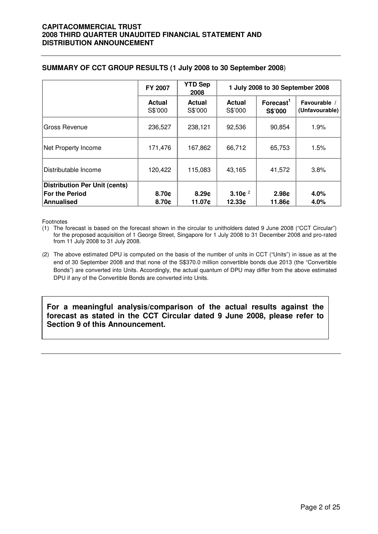|                                                                             | FY 2007                  | <b>YTD Sep</b><br>2008   | 1 July 2008 to 30 September 2008 |                                  |                              |  |
|-----------------------------------------------------------------------------|--------------------------|--------------------------|----------------------------------|----------------------------------|------------------------------|--|
|                                                                             | <b>Actual</b><br>S\$'000 | <b>Actual</b><br>S\$'000 | <b>Actual</b><br>S\$'000         | Forecast <sup>1</sup><br>S\$'000 | Favourable<br>(Unfavourable) |  |
| Gross Revenue                                                               | 236,527                  | 238,121                  | 92,536                           | 90,854                           | 1.9%                         |  |
| Net Property Income                                                         | 171,476                  | 167,862                  | 66,712                           | 65,753                           | 1.5%                         |  |
| Distributable Income                                                        | 120,422                  | 115,083                  | 43,165                           | 41,572                           | 3.8%                         |  |
| <b>Distribution Per Unit (cents)</b><br><b>For the Period</b><br>Annualised | 8.70c<br>8.70c           | 8.29c<br>11.07c          | 3.10 $e^2$<br>12.33c             | 2.98c<br>11.86¢                  | 4.0%<br>4.0%                 |  |

## **SUMMARY OF CCT GROUP RESULTS (1 July 2008 to 30 September 2008**)

Footnotes

- (1) The forecast is based on the forecast shown in the circular to unitholders dated 9 June 2008 ("CCT Circular") for the proposed acquisition of 1 George Street, Singapore for 1 July 2008 to 31 December 2008 and pro-rated from 11 July 2008 to 31 July 2008.
- (2) The above estimated DPU is computed on the basis of the number of units in CCT ("Units") in issue as at the end of 30 September 2008 and that none of the S\$370.0 million convertible bonds due 2013 (the "Convertible Bonds") are converted into Units. Accordingly, the actual quantum of DPU may differ from the above estimated DPU if any of the Convertible Bonds are converted into Units.

**For a meaningful analysis/comparison of the actual results against the forecast as stated in the CCT Circular dated 9 June 2008, please refer to Section 9 of this Announcement.**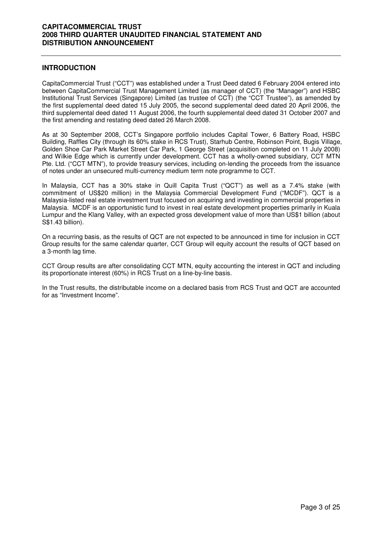#### **INTRODUCTION**

CapitaCommercial Trust ("CCT") was established under a Trust Deed dated 6 February 2004 entered into between CapitaCommercial Trust Management Limited (as manager of CCT) (the "Manager") and HSBC Institutional Trust Services (Singapore) Limited (as trustee of CCT) (the "CCT Trustee"), as amended by the first supplemental deed dated 15 July 2005, the second supplemental deed dated 20 April 2006, the third supplemental deed dated 11 August 2006, the fourth supplemental deed dated 31 October 2007 and the first amending and restating deed dated 26 March 2008.

As at 30 September 2008, CCT's Singapore portfolio includes Capital Tower, 6 Battery Road, HSBC Building, Raffles City (through its 60% stake in RCS Trust), Starhub Centre, Robinson Point, Bugis Village, Golden Shoe Car Park Market Street Car Park, 1 George Street (acquisition completed on 11 July 2008) and Wilkie Edge which is currently under development. CCT has a wholly-owned subsidiary, CCT MTN Pte. Ltd. ("CCT MTN"), to provide treasury services, including on-lending the proceeds from the issuance of notes under an unsecured multi-currency medium term note programme to CCT.

In Malaysia, CCT has a 30% stake in Quill Capita Trust ("QCT") as well as a 7.4% stake (with commitment of US\$20 million) in the Malaysia Commercial Development Fund ("MCDF"). QCT is a Malaysia-listed real estate investment trust focused on acquiring and investing in commercial properties in Malaysia. MCDF is an opportunistic fund to invest in real estate development properties primarily in Kuala Lumpur and the Klang Valley, with an expected gross development value of more than US\$1 billion (about S\$1.43 billion).

On a recurring basis, as the results of QCT are not expected to be announced in time for inclusion in CCT Group results for the same calendar quarter, CCT Group will equity account the results of QCT based on a 3-month lag time.

CCT Group results are after consolidating CCT MTN, equity accounting the interest in QCT and including its proportionate interest (60%) in RCS Trust on a line-by-line basis.

In the Trust results, the distributable income on a declared basis from RCS Trust and QCT are accounted for as "Investment Income".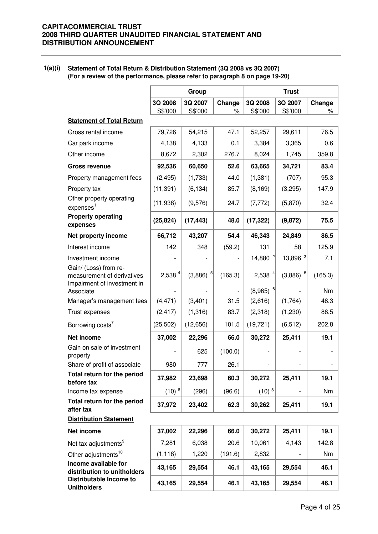#### **1(a)(i) Statement of Total Return & Distribution Statement (3Q 2008 vs 3Q 2007) (For a review of the performance, please refer to paragraph 8 on page 19-20)**

|                                                                                    |                    | Group              |                |                        | <b>Trust</b>           |             |
|------------------------------------------------------------------------------------|--------------------|--------------------|----------------|------------------------|------------------------|-------------|
|                                                                                    | 3Q 2008<br>S\$'000 | 3Q 2007<br>S\$'000 | Change<br>$\%$ | 3Q 2008<br>S\$'000     | 3Q 2007<br>S\$'000     | Change<br>% |
| <b>Statement of Total Return</b>                                                   |                    |                    |                |                        |                        |             |
| Gross rental income                                                                | 79,726             | 54,215             | 47.1           | 52,257                 | 29,611                 | 76.5        |
| Car park income                                                                    | 4,138              | 4,133              | 0.1            | 3,384                  | 3,365                  | 0.6         |
| Other income                                                                       | 8,672              | 2,302              | 276.7          | 8,024                  | 1,745                  | 359.8       |
| <b>Gross revenue</b>                                                               | 92,536             | 60,650             | 52.6           | 63,665                 | 34,721                 | 83.4        |
| Property management fees                                                           | (2, 495)           | (1,733)            | 44.0           | (1, 381)               | (707)                  | 95.3        |
| Property tax                                                                       | (11, 391)          | (6, 134)           | 85.7           | (8, 169)               | (3,295)                | 147.9       |
| Other property operating<br>expenses <sup>1</sup>                                  | (11,938)           | (9,576)            | 24.7           | (7, 772)               | (5,870)                | 32.4        |
| <b>Property operating</b><br>expenses                                              | (25, 824)          | (17, 443)          | 48.0           | (17, 322)              | (9, 872)               | 75.5        |
| Net property income                                                                | 66,712             | 43,207             | 54.4           | 46,343                 | 24,849                 | 86.5        |
| Interest income                                                                    | 142                | 348                | (59.2)         | 131                    | 58                     | 125.9       |
| Investment income                                                                  |                    |                    |                | 14,880 <sup>2</sup>    | 13,896 3               | 7.1         |
| Gain/ (Loss) from re-<br>measurement of derivatives<br>Impairment of investment in | 2,538 4            | (3,886)            | (165.3)        | 2,538 <sup>4</sup>     | $(3,886)$ <sup>5</sup> | (165.3)     |
| Associate                                                                          |                    |                    |                | $(8,965)$ <sup>6</sup> |                        | Nm          |
| Manager's management fees                                                          | (4, 471)           | (3,401)            | 31.5           | (2,616)                | (1,764)                | 48.3        |
| Trust expenses                                                                     | (2, 417)           | (1, 316)           | 83.7           | (2,318)                | (1,230)                | 88.5        |
| Borrowing costs <sup>7</sup>                                                       | (25, 502)          | (12, 656)          | 101.5          | (19, 721)              | (6, 512)               | 202.8       |
| Net income                                                                         | 37,002             | 22,296             | 66.0           | 30,272                 | 25,411                 | 19.1        |
| Gain on sale of investment<br>property                                             |                    | 625                | (100.0)        |                        |                        |             |
| Share of profit of associate                                                       | 980                | 777                | 26.1           |                        |                        |             |
| Total return for the period<br>before tax                                          | 37,982             | 23,698             | 60.3           | 30,272                 | 25,411                 | 19.1        |
| Income tax expense                                                                 | $(10)^8$           | (296)              | (96.6)         | $(10)^8$               |                        | Nm          |
| Total return for the period<br>after tax                                           | 37,972             | 23,402             | 62.3           | 30,262                 | 25,411                 | 19.1        |
| <b>Distribution Statement</b>                                                      |                    |                    |                |                        |                        |             |
| Net income                                                                         | 37,002             | 22,296             | 66.0           | 30,272                 | 25,411                 | 19.1        |
| Net tax adjustments <sup>9</sup>                                                   | 7,281              | 6,038              | 20.6           | 10,061                 | 4,143                  | 142.8       |
| Other adjustments <sup>10</sup>                                                    | (1, 118)           | 1,220              | (191.6)        | 2,832                  |                        | Nm          |
| Income available for<br>distribution to unitholders                                | 43,165             | 29,554             | 46.1           | 43,165                 | 29,554                 | 46.1        |
| Distributable Income to<br><b>Unitholders</b>                                      | 43,165             | 29,554             | 46.1           | 43,165                 | 29,554                 | 46.1        |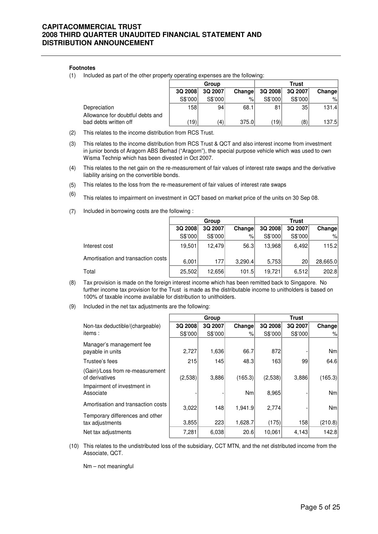#### **Footnotes**

(1) Included as part of the other property operating expenses are the following:

|                                                           |                 | Group   |        |         | <b>Trust</b> |        |
|-----------------------------------------------------------|-----------------|---------|--------|---------|--------------|--------|
|                                                           | 3Q 2008         | 3Q 2007 | Change | 3Q 2008 | 3Q 2007      | Change |
|                                                           | S\$'000         | S\$'000 | %      | S\$'000 | S\$'000      | %      |
| Depreciation                                              | 158             | 94      | 68.1   | 81      | 35           | 131.4  |
| Allowance for doubtful debts and<br>bad debts written off | $^{\prime}$ 19) | (4)     | 375.0  | (19)    | (8)          | 137.5  |

- (2) This relates to the income distribution from RCS Trust.
- (3) This relates to the income distribution from RCS Trust & QCT and also interest income from investment in junior bonds of Aragorn ABS Berhad ("Aragorn"), the special purpose vehicle which was used to own Wisma Technip which has been divested in Oct 2007.
- (4) This relates to the net gain on the re-measurement of fair values of interest rate swaps and the derivative liability arising on the convertible bonds.
- $(5)$ This relates to the loss from the re-measurement of fair values of interest rate swaps
- (6) This relates to impairment on investment in QCT based on market price of the units on 30 Sep 08.
- (7) Included in borrowing costs are the following :

|                                    | Group   |         |         | <b>Trust</b> |         |          |  |
|------------------------------------|---------|---------|---------|--------------|---------|----------|--|
|                                    | 3Q 2008 | 3Q 2007 | Change  | 3Q 2008      | 3Q 2007 | Change   |  |
|                                    | S\$'000 | S\$'000 | $\%$    | S\$'000      | S\$'000 | $\%$     |  |
| Interest cost                      | 19,501  | 12.479  | 56.3    | 13,968       | 6,492   | 115.2    |  |
| Amortisation and transaction costs | 6,001   | 177     | 3,290.4 | 5,753        | 20      | 28,665.0 |  |
| Total                              | 25,502  | 12.656  | 101.5   | 19,721       | 6.512   | 202.8    |  |

- (8) Tax provision is made on the foreign interest income which has been remitted back to Singapore. No further income tax provision for the Trust is made as the distributable income to unitholders is based on 100% of taxable income available for distribution to unitholders.
- (9) Included in the net tax adjustments are the following:

|                                                                                  |         | Group   |           |         | <b>Trust</b> |         |
|----------------------------------------------------------------------------------|---------|---------|-----------|---------|--------------|---------|
| Non-tax deductible/(chargeable)                                                  | 3Q 2008 | 3Q 2007 | Change    | 3Q 2008 | 3Q 2007      | Change  |
| items:                                                                           | S\$'000 | S\$'000 | $\%$      | S\$'000 | S\$'000      | %       |
| Manager's management fee<br>payable in units                                     | 2,727   | 1,636   | 66.7      | 872     |              | Nm      |
| Trustee's fees                                                                   | 215     | 145     | 48.3      | 163     | 99           | 64.6    |
| (Gain)/Loss from re-measurement<br>of derivatives<br>Impairment of investment in | (2,538) | 3,886   | (165.3)   | (2,538) | 3,886        | (165.3) |
| Associate                                                                        |         |         | <b>Nm</b> | 8,965   |              | Nm      |
| Amortisation and transaction costs                                               | 3,022   | 148     | 1,941.9   | 2,774   |              | Nm      |
| Temporary differences and other<br>tax adjustments                               | 3,855   | 223     | 1,628.7   | (175)   | 158          | (210.8) |
| Net tax adjustments                                                              | 7,281   | 6,038   | 20.6      | 10,061  | 4,143        | 142.8   |

(10) This relates to the undistributed loss of the subsidiary, CCT MTN, and the net distributed income from the Associate, QCT.

Nm – not meaningful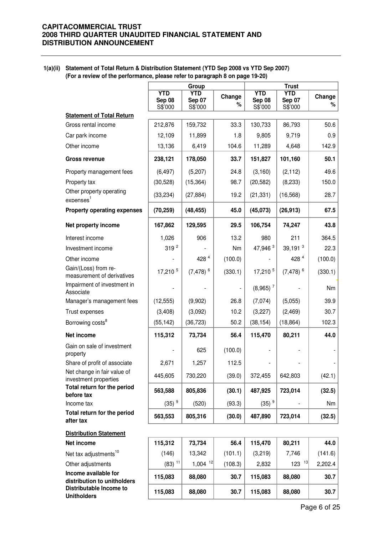**1(a)(ii) Statement of Total Return & Distribution Statement (YTD Sep 2008 vs YTD Sep 2007) (For a review of the performance, please refer to paragraph 8 on page 19-20)**

|                                                      |                                 | Group                                  |             | <b>Trust</b>                    |                                        |             |  |
|------------------------------------------------------|---------------------------------|----------------------------------------|-------------|---------------------------------|----------------------------------------|-------------|--|
|                                                      | <b>YTD</b><br>Sep 08<br>S\$'000 | <b>YTD</b><br><b>Sep 07</b><br>S\$'000 | Change<br>℅ | <b>YTD</b><br>Sep 08<br>S\$'000 | <b>YTD</b><br><b>Sep 07</b><br>S\$'000 | Change<br>℅ |  |
| <b>Statement of Total Return</b>                     |                                 |                                        |             |                                 |                                        |             |  |
| Gross rental income                                  | 212,876                         | 159,732                                | 33.3        | 130,733                         | 86,793                                 | 50.6        |  |
| Car park income                                      | 12,109                          | 11,899                                 | 1.8         | 9,805                           | 9,719                                  | 0.9         |  |
| Other income                                         | 13,136                          | 6,419                                  | 104.6       | 11,289                          | 4,648                                  | 142.9       |  |
| <b>Gross revenue</b>                                 | 238,121                         | 178,050                                | 33.7        | 151,827                         | 101,160                                | 50.1        |  |
| Property management fees                             | (6, 497)                        | (5,207)                                | 24.8        | (3, 160)                        | (2, 112)                               | 49.6        |  |
| Property tax                                         | (30, 528)                       | (15, 364)                              | 98.7        | (20, 582)                       | (8, 233)                               | 150.0       |  |
| Other property operating<br>expenses <sup>1</sup>    | (33, 234)                       | (27, 884)                              | 19.2        | (21, 331)                       | (16, 568)                              | 28.7        |  |
| <b>Property operating expenses</b>                   | (70, 259)                       | (48, 455)                              | 45.0        | (45,073)                        | (26, 913)                              | 67.5        |  |
| Net property income                                  | 167,862                         | 129,595                                | 29.5        | 106,754                         | 74,247                                 | 43.8        |  |
| Interest income                                      | 1,026                           | 906                                    | 13.2        | 980                             | 211                                    | 364.5       |  |
| Investment income                                    | 319 <sup>2</sup>                |                                        | Nm          | 47,946 3                        | $39,191$ <sup>3</sup>                  | 22.3        |  |
| Other income                                         |                                 | 428 4                                  | (100.0)     |                                 | 428 4                                  | (100.0)     |  |
| Gain/(Loss) from re-<br>measurement of derivatives   | 17,210 5                        | $(7,478)$ <sup>6</sup>                 | (330.1)     | 17,210 5                        | $(7,478)$ <sup>6</sup>                 | (330.1)     |  |
| Impairment of investment in<br>Associate             |                                 |                                        |             | $(8,965)$ <sup>7</sup>          |                                        | Nm          |  |
| Manager's management fees                            | (12, 555)                       | (9,902)                                | 26.8        | (7,074)                         | (5,055)                                | 39.9        |  |
| Trust expenses                                       | (3,408)                         | (3,092)                                | 10.2        | (3,227)                         | (2,469)                                | 30.7        |  |
| Borrowing costs <sup>8</sup>                         | (55, 142)                       | (36, 723)                              | 50.2        | (38, 154)                       | (18, 864)                              | 102.3       |  |
| Net income                                           | 115,312                         | 73,734                                 | 56.4        | 115,470                         | 80,211                                 | 44.0        |  |
| Gain on sale of investment<br>property               |                                 | 625                                    | (100.0)     |                                 |                                        |             |  |
| Share of profit of associate                         | 2,671                           | 1,257                                  | 112.5       |                                 |                                        |             |  |
| Net change in fair value of<br>investment properties | 445,605                         | 730,220                                | (39.0)      | 372,455                         | 642,803                                | (42.1)      |  |
| Total return for the period<br>before tax            | 563,588                         | 805,836                                | (30.1)      | 487,925                         | 723,014                                | (32.5)      |  |
| Income tax                                           | $(35)$ <sup>9</sup>             | (520)                                  | (93.3)      | $(35)$ <sup>9</sup>             |                                        | Nm          |  |
| Total return for the period<br>after tax             | 563,553                         | 805,316                                | (30.0)      | 487,890                         | 723,014                                | (32.5)      |  |
| <b>Distribution Statement</b>                        |                                 |                                        |             |                                 |                                        |             |  |
| Net income                                           | 115,312                         | 73,734                                 | 56.4        | 115,470                         | 80,211                                 | 44.0        |  |
| Net tax adjustments <sup>10</sup>                    | (146)                           | 13,342                                 | (101.1)     | (3,219)                         | 7,746                                  | (141.6)     |  |
| Other adjustments                                    | $(83)$ <sup>11</sup>            | $1,004$ <sup>12</sup>                  | (108.3)     | 2,832                           | $123$ <sup>13</sup>                    | 2,202.4     |  |
| Income available for<br>distribution to unitholders  | 115,083                         | 88,080                                 | 30.7        | 115,083                         | 88,080                                 | 30.7        |  |
| Distributable Income to<br><b>Unitholders</b>        | 115,083                         | 88,080                                 | 30.7        | 115,083                         | 88,080                                 | 30.7        |  |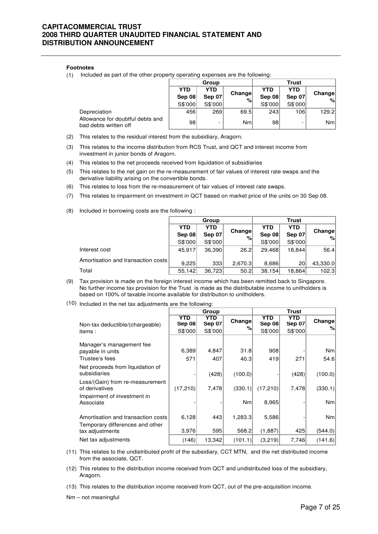#### **Footnotes**

(1) Included as part of the other property operating expenses are the following:

|                                                           | Group           |                          |             | <b>Trust</b>  |               |                 |
|-----------------------------------------------------------|-----------------|--------------------------|-------------|---------------|---------------|-----------------|
|                                                           | YTD<br>YTD      |                          |             | YTD           | YTD           |                 |
|                                                           | Sep 08          | Sep 07                   | Change<br>% | <b>Sep 08</b> | <b>Sep 07</b> | Change<br>%     |
|                                                           | S\$'000         | S\$'000                  |             | S\$'000       | S\$'000       |                 |
| Depreciation                                              | 456             | 269                      | 69.5        | 243           | 106           | 129.2           |
| Allowance for doubtful debts and<br>bad debts written off | 98 <sub>1</sub> | $\overline{\phantom{0}}$ | Nm          | 98            | -             | Nm <sub>l</sub> |

- (2) This relates to the residual interest from the subsidiary, Aragorn.
- (3) This relates to the income distribution from RCS Trust, and QCT and interest income from investment in junior bonds of Aragorn.
- (4) This relates to the net proceeds received from liquidation of subsidiaries
- (5) This relates to the net gain on the re-measurement of fair values of interest rate swaps and the derivative liability arising on the convertible bonds.
- (6) This relates to loss from the re-measurement of fair values of interest rate swaps.
- (7) This relates to impairment on investment in QCT based on market price of the units on 30 Sep 08.
- (8) Included in borrowing costs are the following :

|                                    |                          | Group   |             | <b>Trust</b> |            |               |  |
|------------------------------------|--------------------------|---------|-------------|--------------|------------|---------------|--|
|                                    | <b>YTD</b><br><b>YTD</b> |         |             | YTD          | <b>YTD</b> | <b>Change</b> |  |
|                                    | Sep 08                   | Sep 07  | Change<br>% | Sep 08       | Sep 07     | %             |  |
|                                    | S\$'000                  | S\$'000 |             | S\$'000      | S\$'000    |               |  |
| Interest cost                      | 45.917                   | 36.390  | 26.2        | 29.468       | 18.844     | 56.4          |  |
| Amortisation and transaction costs | 9.225                    | 333     | 2,670.3     | 8,686        | 20         | 43,330.0      |  |
| Total                              | 55,142                   | 36,723  | 50.2        | 38,154       | 18,864     | 102.3         |  |

- (9) Tax provision is made on the foreign interest income which has been remitted back to Singapore. No further income tax provision for the Trust is made as the distributable income to unitholders is based on 100% of taxable income available for distribution to unitholders.
- (10) Included in the net tax adjustments are the following:

|                                                                                          |                                 | Group                    |                  |                                 | <b>Trust</b>             |                 |
|------------------------------------------------------------------------------------------|---------------------------------|--------------------------|------------------|---------------------------------|--------------------------|-----------------|
| Non-tax deductible/(chargeable)<br>items:                                                | YTD<br><b>Sep 08</b><br>S\$'000 | YTD<br>Sep 07<br>S\$'000 | Change<br>%      | YTD<br><b>Sep 08</b><br>S\$'000 | YTD<br>Sep 07<br>S\$'000 | Change<br>%     |
| Manager's management fee<br>payable in units                                             | 6,389                           | 4,847                    | 31.8             | 908                             |                          | Nm <sub>l</sub> |
| Trustee's fees<br>Net proceeds from liquidation of<br>subsidiaries                       | 571                             | 407<br>(428)             | 40.3<br>(100.0)  | 419                             | 271<br>(428)             | 54.6<br>(100.0) |
| Loss/(Gain) from re-measurement<br>of derivatives<br>Impairment of investment in         | (17,210)                        | 7,478                    | (330.1)          | (17,210)                        | 7,478                    | (330.1)         |
| Associate                                                                                |                                 |                          | Nm <sub>l</sub>  | 8,965                           |                          | Nm <sub>l</sub> |
| Amortisation and transaction costs<br>Temporary differences and other<br>tax adjustments | 6,128<br>3,976                  | 443<br>595               | 1,283.3<br>568.2 | 5,586<br>(1,887)                | 425                      | Nm<br>(544.0)   |
| Net tax adjustments                                                                      | (146)                           | 13,342                   | (101.1)          | (3,219)                         | 7,746                    | (141.6)         |

- (11) This relates to the undistributed profit of the subsidiary, CCT MTN, and the net distributed income from the associate, QCT.
- (12) This relates to the distribution income received from QCT and undistributed loss of the subsidiary, Aragorn.
- (13) This relates to the distribution income received from QCT, out of the pre-acquisition income.
- Nm not meaningful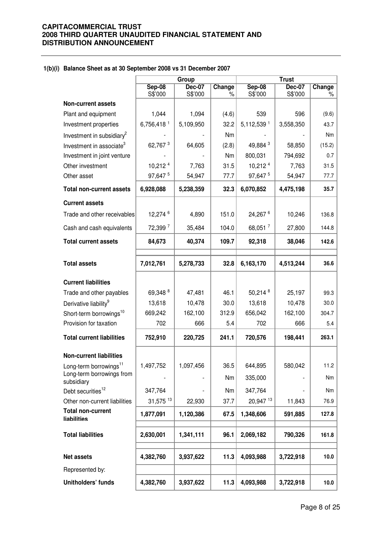#### **1(b)(i) Balance Sheet as at 30 September 2008 vs 31 December 2007**

|                                         |                          | Group                    |             |                          | <b>Trust</b>             |             |
|-----------------------------------------|--------------------------|--------------------------|-------------|--------------------------|--------------------------|-------------|
|                                         | <b>Sep-08</b><br>S\$'000 | <b>Dec-07</b><br>S\$'000 | Change<br>% | <b>Sep-08</b><br>S\$'000 | <b>Dec-07</b><br>S\$'000 | Change<br>% |
| <b>Non-current assets</b>               |                          |                          |             |                          |                          |             |
| Plant and equipment                     | 1,044                    | 1,094                    | (4.6)       | 539                      | 596                      | (9.6)       |
| Investment properties                   | 6,756,418 <sup>1</sup>   | 5,109,950                | 32.2        | 5,112,539 1              | 3,558,350                | 43.7        |
| Investment in subsidiary <sup>2</sup>   |                          |                          | Nm          |                          |                          | <b>Nm</b>   |
| Investment in associate <sup>3</sup>    | 62,767 <sup>3</sup>      | 64,605                   | (2.8)       | 49,884 3                 | 58,850                   | (15.2)      |
| Investment in joint venture             |                          |                          | Nm          | 800,031                  | 794,692                  | 0.7         |
| Other investment                        | 10,212 4                 | 7,763                    | 31.5        | 10,212 4                 | 7,763                    | 31.5        |
| Other asset                             | 97,647 5                 | 54,947                   | 77.7        | 97,647 5                 | 54,947                   | 77.7        |
| <b>Total non-current assets</b>         | 6,928,088                | 5,238,359                | 32.3        | 6,070,852                | 4,475,198                | 35.7        |
| <b>Current assets</b>                   |                          |                          |             |                          |                          |             |
| Trade and other receivables             | 12,274 6                 | 4,890                    | 151.0       | 24,267 <sup>6</sup>      | 10,246                   | 136.8       |
| Cash and cash equivalents               | 72,399 7                 | 35,484                   | 104.0       | 68,051 7                 | 27,800                   | 144.8       |
| <b>Total current assets</b>             | 84,673                   | 40,374                   | 109.7       | 92,318                   | 38,046                   | 142.6       |
| <b>Total assets</b>                     | 7,012,761                | 5,278,733                | 32.8        | 6,163,170                | 4,513,244                | 36.6        |
|                                         |                          |                          |             |                          |                          |             |
| <b>Current liabilities</b>              |                          |                          |             |                          |                          |             |
| Trade and other payables                | 69,348 <sup>8</sup>      | 47,481                   | 46.1        | 50,214 8                 | 25,197                   | 99.3        |
| Derivative liability <sup>9</sup>       | 13,618                   | 10,478                   | 30.0        | 13,618                   | 10,478                   | 30.0        |
| Short-term borrowings <sup>10</sup>     | 669,242                  | 162,100                  | 312.9       | 656,042                  | 162,100                  | 304.7       |
| Provision for taxation                  | 702                      | 666                      | 5.4         | 702                      | 666                      | 5.4         |
| <b>Total current liabilities</b>        | 752,910                  | 220,725                  | 241.1       | 720,576                  | 198,441                  | 263.1       |
| <b>Non-current liabilities</b>          |                          |                          |             |                          |                          |             |
| Long-term borrowings <sup>11</sup>      | 1,497,752                | 1,097,456                | 36.5        | 644,895                  | 580,042                  | 11.2        |
| Long-term borrowings from<br>subsidiary |                          |                          | Nm          | 335,000                  |                          | Nm          |
| Debt securities <sup>12</sup>           | 347,764                  |                          | Nm          | 347,764                  |                          | Nm          |
| Other non-current liabilities           | 31,575 13                | 22,930                   | 37.7        | 20,947 13                | 11,843                   | 76.9        |
| <b>Total non-current</b><br>liabilities | 1,877,091                | 1,120,386                | 67.5        | 1,348,606                | 591,885                  | 127.8       |
|                                         |                          |                          |             |                          |                          |             |
| <b>Total liabilities</b>                | 2,630,001                | 1,341,111                | 96.1        | 2,069,182                | 790,326                  | 161.8       |
| <b>Net assets</b>                       | 4,382,760                | 3,937,622                | 11.3        | 4,093,988                | 3,722,918                | 10.0        |
| Represented by:                         |                          |                          |             |                          |                          |             |
| Unitholders' funds                      | 4,382,760                | 3,937,622                | 11.3        | 4,093,988                | 3,722,918                | 10.0        |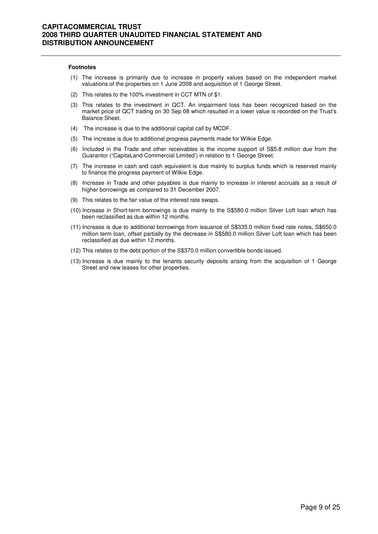#### **Footnotes**

- (1) The increase is primarily due to increase in property values based on the independent market valuations of the properties on 1 June 2008 and acquisition of 1 George Street.
- (2) This relates to the 100% investment in CCT MTN of \$1.
- (3) This relates to the investment in QCT. An impairment loss has been recognized based on the market price of QCT trading on 30 Sep 08 which resulted in a lower value is recorded on the Trust's Balance Sheet.
- (4) The increase is due to the additional capital call by MCDF.
- (5) The increase is due to additional progress payments made for Wilkie Edge.
- (6) Included in the Trade and other receivables is the income support of S\$5.8 million due from the Guarantor ("CapitaLand Commercial Limited') in relation to 1 George Street.
- (7) The increase in cash and cash equivalent is due mainly to surplus funds which is reserved mainly to finance the progress payment of Wilkie Edge.
- (8) Increase in Trade and other payables is due mainly to increase in interest accruals as a result of higher borrowings as compared to 31 December 2007.
- (9) This relates to the fair value of the interest rate swaps.
- (10) Increase in Short-term borrowings is due mainly to the S\$580.0 million Silver Loft loan which has been reclassified as due within 12 months.
- (11) Increase is due to additional borrowings from issuance of S\$335.0 million fixed rate notes, S\$650.0 million term loan, offset partially by the decrease in S\$580.0 million Silver Loft loan which has been reclassified as due within 12 months.
- (12) This relates to the debt portion of the S\$370.0 million convertible bonds issued.
- (13) Increase is due mainly to the tenants security deposits arising from the acquisition of 1 George Street and new leases for other properties.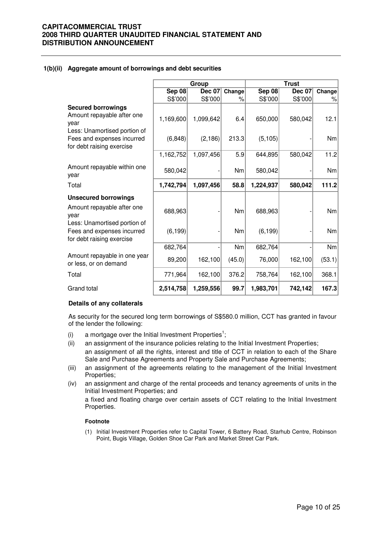#### **1(b)(ii) Aggregate amount of borrowings and debt securities**

|                                                                                                                               |                       | Group                 |              | <b>Trust</b>        |               |            |  |
|-------------------------------------------------------------------------------------------------------------------------------|-----------------------|-----------------------|--------------|---------------------|---------------|------------|--|
|                                                                                                                               | <b>Sep 08</b>         | Dec 07                | Change       | <b>Sep 08</b>       | <b>Dec 07</b> | Change     |  |
|                                                                                                                               | S\$'000               | S\$'000               | %            | S\$'000             | S\$'000       | %          |  |
| <b>Secured borrowings</b><br>Amount repayable after one<br>year<br>Less: Unamortised portion of<br>Fees and expenses incurred | 1,169,600<br>(6, 848) | 1,099,642<br>(2, 186) | 6.4<br>213.3 | 650,000<br>(5, 105) | 580,042       | 12.1<br>Nm |  |
| for debt raising exercise                                                                                                     | 1,162,752             | 1,097,456             | 5.9          | 644,895             | 580,042       | 11.2       |  |
| Amount repayable within one<br>year                                                                                           | 580,042               |                       | Nm           | 580,042             |               | Nm         |  |
| Total                                                                                                                         | 1,742,794             | 1,097,456             | 58.8         | 1,224,937           | 580,042       | 111.2      |  |
| <b>Unsecured borrowings</b>                                                                                                   |                       |                       |              |                     |               |            |  |
| Amount repayable after one<br>year                                                                                            | 688,963               |                       | Nm           | 688,963             |               | <b>Nm</b>  |  |
| Less: Unamortised portion of<br>Fees and expenses incurred<br>for debt raising exercise                                       | (6, 199)              |                       | Nm           | (6, 199)            |               | Nm         |  |
|                                                                                                                               | 682,764               |                       | <b>Nm</b>    | 682,764             |               | Nm         |  |
| Amount repayable in one year<br>or less, or on demand                                                                         | 89,200                | 162,100               | (45.0)       | 76,000              | 162,100       | (53.1)     |  |
| Total                                                                                                                         | 771,964               | 162,100               | 376.2        | 758,764             | 162,100       | 368.1      |  |
| Grand total                                                                                                                   | 2,514,758             | 1,259,556             | 99.7         | 1,983,701           | 742,142       | 167.3      |  |

#### **Details of any collaterals**

As security for the secured long term borrowings of S\$580.0 million, CCT has granted in favour of the lender the following:

- (i) a mortgage over the Initial Investment Properties<sup>1</sup>;
- (ii) an assignment of the insurance policies relating to the Initial Investment Properties; an assignment of all the rights, interest and title of CCT in relation to each of the Share Sale and Purchase Agreements and Property Sale and Purchase Agreements;
- (iii) an assignment of the agreements relating to the management of the Initial Investment Properties;
- (iv) an assignment and charge of the rental proceeds and tenancy agreements of units in the Initial Investment Properties; and

a fixed and floating charge over certain assets of CCT relating to the Initial Investment Properties.

#### **Footnote**

(1) Initial Investment Properties refer to Capital Tower, 6 Battery Road, Starhub Centre, Robinson Point, Bugis Village, Golden Shoe Car Park and Market Street Car Park.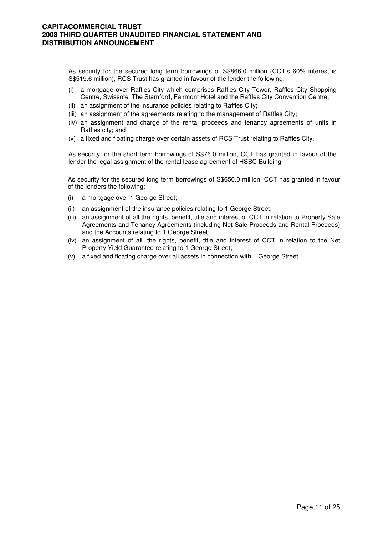As security for the secured long term borrowings of S\$866.0 million (CCT's 60% interest is S\$519.6 million), RCS Trust has granted in favour of the lender the following:

- (i) a mortgage over Raffles City which comprises Raffles City Tower, Raffles City Shopping Centre, Swissotel The Stamford, Fairmont Hotel and the Raffles City Convention Centre;
- (ii) an assignment of the insurance policies relating to Raffles City;
- (iii) an assignment of the agreements relating to the management of Raffles City;
- (iv) an assignment and charge of the rental proceeds and tenancy agreements of units in Raffles city; and
- (v) a fixed and floating charge over certain assets of RCS Trust relating to Raffles City.

As security for the short term borrowings of S\$76.0 million, CCT has granted in favour of the lender the legal assignment of the rental lease agreement of HSBC Building.

As security for the secured long term borrowings of S\$650.0 million, CCT has granted in favour of the lenders the following:

- (i) a mortgage over 1 George Street;
- (ii) an assignment of the insurance policies relating to 1 George Street;
- (iii) an assignment of all the rights, benefit, title and interest of CCT in relation to Property Sale Agreements and Tenancy Agreements (including Net Sale Proceeds and Rental Proceeds) and the Accounts relating to 1 George Street;
- (iv) an assignment of all the rights, benefit, title and interest of CCT in relation to the Net Property Yield Guarantee relating to 1 George Street;
- (v) a fixed and floating charge over all assets in connection with 1 George Street.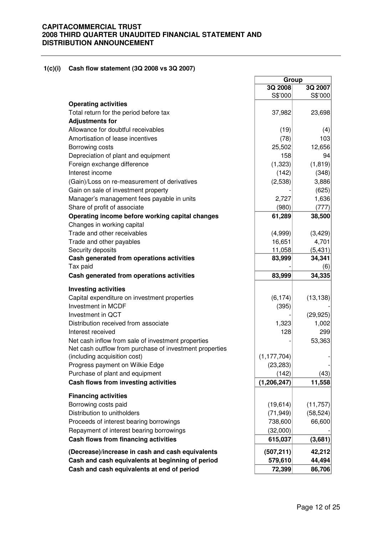#### **1(c)(i) Cash flow statement (3Q 2008 vs 3Q 2007)**

|                                                         | Group         |           |  |
|---------------------------------------------------------|---------------|-----------|--|
|                                                         | 3Q 2008       | 3Q 2007   |  |
|                                                         | S\$'000       | S\$'000   |  |
| <b>Operating activities</b>                             |               |           |  |
| Total return for the period before tax                  | 37,982        | 23,698    |  |
| <b>Adjustments for</b>                                  |               |           |  |
| Allowance for doubtful receivables                      | (19)          | (4)       |  |
| Amortisation of lease incentives                        | (78)          | 103       |  |
| Borrowing costs                                         | 25,502        | 12,656    |  |
| Depreciation of plant and equipment                     | 158           | 94        |  |
| Foreign exchange difference                             | (1,323)       | (1, 819)  |  |
| Interest income                                         | (142)         | (348)     |  |
| (Gain)/Loss on re-measurement of derivatives            | (2,538)       | 3,886     |  |
| Gain on sale of investment property                     |               | (625)     |  |
| Manager's management fees payable in units              | 2,727         | 1,636     |  |
| Share of profit of associate                            | (980)         | (777)     |  |
| Operating income before working capital changes         | 61,289        | 38,500    |  |
| Changes in working capital                              |               |           |  |
| Trade and other receivables                             | (4,999)       | (3, 429)  |  |
| Trade and other payables                                | 16,651        | 4,701     |  |
| Security deposits                                       | 11,058        | (5, 431)  |  |
| Cash generated from operations activities               | 83,999        | 34,341    |  |
| Tax paid                                                |               | (6)       |  |
| Cash generated from operations activities               | 83,999        | 34,335    |  |
| <b>Investing activities</b>                             |               |           |  |
| Capital expenditure on investment properties            | (6, 174)      | (13, 138) |  |
| Investment in MCDF                                      | (395)         |           |  |
| Investment in QCT                                       |               | (29, 925) |  |
| Distribution received from associate                    | 1,323         | 1,002     |  |
| Interest received                                       | 128           | 299       |  |
| Net cash inflow from sale of investment properties      |               | 53,363    |  |
| Net cash outflow from purchase of investment properties |               |           |  |
| (including acquisition cost)                            | (1, 177, 704) |           |  |
| Progress payment on Wilkie Edge                         | (23, 283)     |           |  |
| Purchase of plant and equipment                         | (142)         | (43)      |  |
| Cash flows from investing activities                    | (1, 206, 247) | 11,558    |  |
|                                                         |               |           |  |
| <b>Financing activities</b>                             |               |           |  |
| Borrowing costs paid                                    | (19, 614)     | (11, 757) |  |
| Distribution to unitholders                             | (71, 949)     | (58, 524) |  |
| Proceeds of interest bearing borrowings                 | 738,600       | 66,600    |  |
| Repayment of interest bearing borrowings                | (32,000)      |           |  |
| Cash flows from financing activities                    | 615,037       | (3,681)   |  |
| (Decrease)/increase in cash and cash equivalents        | (507, 211)    | 42,212    |  |
| Cash and cash equivalents at beginning of period        | 579,610       | 44,494    |  |
| Cash and cash equivalents at end of period              | 72,399        | 86,706    |  |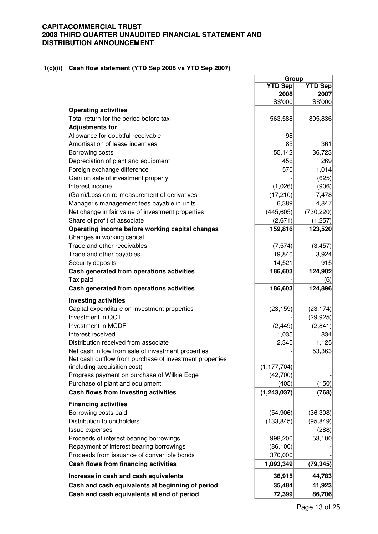#### **1(c)(ii) Cash flow statement (YTD Sep 2008 vs YTD Sep 2007)**

|                                                         | Group          |                |
|---------------------------------------------------------|----------------|----------------|
|                                                         | <b>YTD Sep</b> | <b>YTD Sep</b> |
|                                                         | 2008           | 2007           |
|                                                         | S\$'000        | S\$'000        |
| <b>Operating activities</b>                             |                |                |
| Total return for the period before tax                  | 563,588        | 805,836        |
| <b>Adjustments for</b>                                  |                |                |
| Allowance for doubtful receivable                       | 98             |                |
| Amortisation of lease incentives                        | 85             | 361            |
| Borrowing costs                                         | 55,142         | 36,723         |
| Depreciation of plant and equipment                     | 456            | 269            |
| Foreign exchange difference                             | 570            | 1,014          |
| Gain on sale of investment property                     |                | (625)          |
| Interest income                                         | (1,026)        | (906)          |
| (Gain)/Loss on re-measurement of derivatives            | (17, 210)      | 7,478          |
| Manager's management fees payable in units              | 6,389          | 4,847          |
| Net change in fair value of investment properties       | (445, 605)     | (730, 220)     |
| Share of profit of associate                            | (2,671)        | (1,257)        |
| Operating income before working capital changes         | 159,816        | 123,520        |
| Changes in working capital                              |                |                |
| Trade and other receivables                             | (7, 574)       | (3, 457)       |
| Trade and other payables                                | 19,840         | 3,924          |
| Security deposits                                       | 14,521         | 915            |
|                                                         |                |                |
| Cash generated from operations activities               | 186,603        | 124,902        |
| Tax paid                                                |                | (6)            |
| Cash generated from operations activities               | 186,603        | 124,896        |
| <b>Investing activities</b>                             |                |                |
| Capital expenditure on investment properties            | (23, 159)      | (23, 174)      |
| Investment in QCT                                       |                | (29, 925)      |
| Investment in MCDF                                      | (2, 449)       | (2,841)        |
| Interest received                                       | 1,035          | 834            |
| Distribution received from associate                    | 2,345          | 1,125          |
| Net cash inflow from sale of investment properties      |                | 53,363         |
| Net cash outflow from purchase of investment properties |                |                |
| (including acquisition cost)                            | (1, 177, 704)  |                |
| Progress payment on purchase of Wilkie Edge             | (42,700)       |                |
| Purchase of plant and equipment                         | (405)          | (150)          |
| Cash flows from investing activities                    | (1, 243, 037)  | (768)          |
|                                                         |                |                |
| <b>Financing activities</b>                             |                |                |
| Borrowing costs paid                                    | (54,906)       | (36, 308)      |
| Distribution to unitholders                             | (133, 845)     | (95, 849)      |
| Issue expenses                                          |                | (288)          |
| Proceeds of interest bearing borrowings                 | 998,200        | 53,100         |
| Repayment of interest bearing borrowings                | (86, 100)      |                |
| Proceeds from issuance of convertible bonds             | 370,000        |                |
| Cash flows from financing activities                    | 1,093,349      | (79, 345)      |
| Increase in cash and cash equivalents                   | 36,915         | 44,783         |
| Cash and cash equivalents at beginning of period        | 35,484         | 41,923         |
| Cash and cash equivalents at end of period              | 72,399         | 86,706         |
|                                                         |                |                |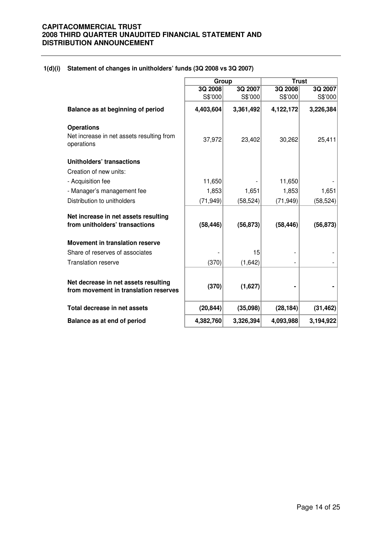|                                                                               | Group     |           |           | <b>Trust</b> |  |
|-------------------------------------------------------------------------------|-----------|-----------|-----------|--------------|--|
|                                                                               | 3Q 2008   | 3Q 2007   | 3Q 2008   | 3Q 2007      |  |
|                                                                               | S\$'000   | S\$'000   | S\$'000   | S\$'000      |  |
| Balance as at beginning of period                                             | 4,403,604 | 3,361,492 | 4,122,172 | 3,226,384    |  |
| <b>Operations</b>                                                             |           |           |           |              |  |
| Net increase in net assets resulting from<br>operations                       | 37,972    | 23,402    | 30,262    | 25,411       |  |
| Unitholders' transactions                                                     |           |           |           |              |  |
| Creation of new units:                                                        |           |           |           |              |  |
| - Acquisition fee                                                             | 11,650    |           | 11,650    |              |  |
| - Manager's management fee                                                    | 1,853     | 1,651     | 1,853     | 1,651        |  |
| Distribution to unitholders                                                   | (71, 949) | (58, 524) | (71, 949) | (58, 524)    |  |
| Net increase in net assets resulting                                          |           |           |           |              |  |
| from unitholders' transactions                                                | (58, 446) | (56, 873) | (58, 446) | (56, 873)    |  |
| Movement in translation reserve                                               |           |           |           |              |  |
| Share of reserves of associates                                               |           | 15        |           |              |  |
| <b>Translation reserve</b>                                                    | (370)     | (1,642)   |           |              |  |
|                                                                               |           |           |           |              |  |
| Net decrease in net assets resulting<br>from movement in translation reserves | (370)     | (1,627)   |           |              |  |
| Total decrease in net assets                                                  | (20, 844) | (35,098)  | (28, 184) | (31, 462)    |  |
| Balance as at end of period                                                   | 4,382,760 | 3,326,394 | 4,093,988 | 3,194,922    |  |

#### **1(d)(i) Statement of changes in unitholders' funds (3Q 2008 vs 3Q 2007)**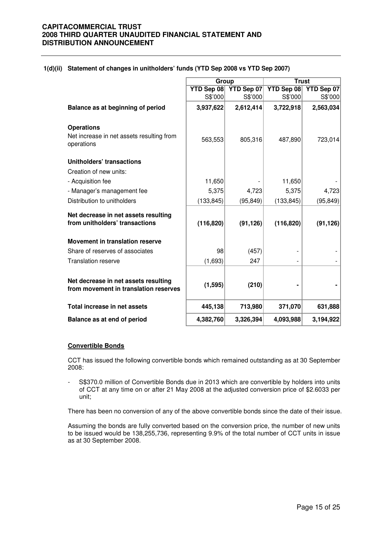|                                                                               | Group      |            | <b>Trust</b> |            |
|-------------------------------------------------------------------------------|------------|------------|--------------|------------|
|                                                                               | YTD Sep 08 | YTD Sep 07 | YTD Sep 08   | YTD Sep 07 |
|                                                                               | S\$'000    | S\$'000    | S\$'000      | S\$'000    |
| Balance as at beginning of period                                             | 3,937,622  | 2,612,414  | 3,722,918    | 2,563,034  |
| <b>Operations</b>                                                             |            |            |              |            |
| Net increase in net assets resulting from<br>operations                       | 563,553    | 805,316    | 487,890      | 723,014    |
| <b>Unitholders' transactions</b>                                              |            |            |              |            |
| Creation of new units:                                                        |            |            |              |            |
| - Acquisition fee                                                             | 11,650     |            | 11,650       |            |
| - Manager's management fee                                                    | 5,375      | 4,723      | 5,375        | 4,723      |
| Distribution to unitholders                                                   | (133, 845) | (95, 849)  | (133, 845)   | (95, 849)  |
| Net decrease in net assets resulting                                          |            |            |              |            |
| from unitholders' transactions                                                | (116, 820) | (91, 126)  | (116, 820)   | (91, 126)  |
| <b>Movement in translation reserve</b>                                        |            |            |              |            |
| Share of reserves of associates                                               | 98         | (457)      |              |            |
| <b>Translation reserve</b>                                                    | (1,693)    | 247        |              |            |
|                                                                               |            |            |              |            |
| Net decrease in net assets resulting<br>from movement in translation reserves | (1, 595)   | (210)      |              |            |
| Total increase in net assets                                                  | 445,138    | 713,980    | 371,070      | 631,888    |
| Balance as at end of period                                                   | 4,382,760  | 3,326,394  | 4,093,988    | 3,194,922  |

#### **1(d)(ii) Statement of changes in unitholders' funds (YTD Sep 2008 vs YTD Sep 2007)**

#### **Convertible Bonds**

CCT has issued the following convertible bonds which remained outstanding as at 30 September 2008:

- S\$370.0 million of Convertible Bonds due in 2013 which are convertible by holders into units of CCT at any time on or after 21 May 2008 at the adjusted conversion price of \$2.6033 per unit;

There has been no conversion of any of the above convertible bonds since the date of their issue.

Assuming the bonds are fully converted based on the conversion price, the number of new units to be issued would be 138,255,736, representing 9.9% of the total number of CCT units in issue as at 30 September 2008.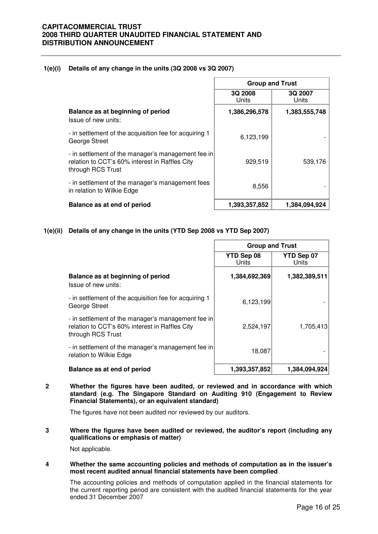#### **1(e)(i) Details of any change in the units (3Q 2008 vs 3Q 2007)**

|                                                                                                                           | <b>Group and Trust</b> |                  |  |
|---------------------------------------------------------------------------------------------------------------------------|------------------------|------------------|--|
|                                                                                                                           | 3Q 2008<br>Units       | 3Q 2007<br>Units |  |
| Balance as at beginning of period<br>Issue of new units:                                                                  | 1,386,296,578          | 1,383,555,748    |  |
| - in settlement of the acquisition fee for acquiring 1<br>George Street                                                   | 6,123,199              |                  |  |
| - in settlement of the manager's management fee in<br>relation to CCT's 60% interest in Raffles City<br>through RCS Trust | 929,519                | 539,176          |  |
| - in settlement of the manager's management fees<br>in relation to Wilkie Edge                                            | 8,556                  |                  |  |
| Balance as at end of period                                                                                               | 1,393,357,852          | 1.384.094.924    |  |

#### **1(e)(ii) Details of any change in the units (YTD Sep 2008 vs YTD Sep 2007)**

|                                                                                                                           | <b>Group and Trust</b> |                     |  |
|---------------------------------------------------------------------------------------------------------------------------|------------------------|---------------------|--|
|                                                                                                                           | YTD Sep 08<br>Units    | YTD Sep 07<br>Units |  |
| Balance as at beginning of period<br>Issue of new units:                                                                  | 1,384,692,369          | 1,382,389,511       |  |
| - in settlement of the acquisition fee for acquiring 1<br>George Street                                                   | 6,123,199              |                     |  |
| - in settlement of the manager's management fee in<br>relation to CCT's 60% interest in Raffles City<br>through RCS Trust | 2,524,197              | 1,705,413           |  |
| - in settlement of the manager's management fee in<br>relation to Wilkie Edge                                             | 18,087                 |                     |  |
| Balance as at end of period                                                                                               | 1,393,357,852          | 1,384,094,924       |  |

**2 Whether the figures have been audited, or reviewed and in accordance with which standard (e.g. The Singapore Standard on Auditing 910 (Engagement to Review Financial Statements), or an equivalent standard)** 

The figures have not been audited nor reviewed by our auditors.

**3 Where the figures have been audited or reviewed, the auditor's report (including any qualifications or emphasis of matter)** 

Not applicable.

#### **4 Whether the same accounting policies and methods of computation as in the issuer's most recent audited annual financial statements have been complied**

The accounting policies and methods of computation applied in the financial statements for the current reporting period are consistent with the audited financial statements for the year ended 31 December 2007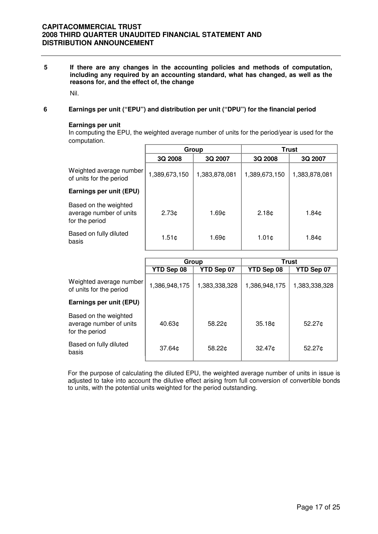**5 If there are any changes in the accounting policies and methods of computation, including any required by an accounting standard, what has changed, as well as the reasons for, and the effect of, the change** 

Nil.

#### **6 Earnings per unit ("EPU") and distribution per unit ("DPU") for the financial period**

#### **Earnings per unit**

In computing the EPU, the weighted average number of units for the period/year is used for the computation.

|                                                                    |                   | Group             |                   | <b>Trust</b>  |
|--------------------------------------------------------------------|-------------------|-------------------|-------------------|---------------|
|                                                                    | 3Q 2008           | 3Q 2007           | 3Q 2008           | 3Q 2007       |
| Weighted average number<br>of units for the period                 | 1,389,673,150     | 1,383,878,081     | 1,389,673,150     | 1,383,878,081 |
| Earnings per unit (EPU)                                            |                   |                   |                   |               |
| Based on the weighted<br>average number of units<br>for the period | 2.73 <sub>¢</sub> | 1.69¢             | 2.18 <sub>¢</sub> | 1.84¢         |
| Based on fully diluted<br>basis                                    | $1.51$ ¢          | 1.69 <sub>¢</sub> | 1.01 <sub>c</sub> | 1.84¢         |

|                                                                    | Group              |               |                    | Trust         |
|--------------------------------------------------------------------|--------------------|---------------|--------------------|---------------|
|                                                                    | YTD Sep 08         | YTD Sep 07    | YTD Sep 08         | YTD Sep 07    |
| Weighted average number<br>of units for the period                 | 1,386,948,175      | 1,383,338,328 | 1,386,948,175      | 1,383,338,328 |
| Earnings per unit (EPU)                                            |                    |               |                    |               |
| Based on the weighted<br>average number of units<br>for the period | 40.63 <sub>0</sub> | 58.22c        | 35.18 <sub>0</sub> | 52.27c        |
| Based on fully diluted<br>basis                                    | 37.64¢             | 58.22c        | 32.47c             | 52.27c        |

For the purpose of calculating the diluted EPU, the weighted average number of units in issue is adjusted to take into account the dilutive effect arising from full conversion of convertible bonds to units, with the potential units weighted for the period outstanding.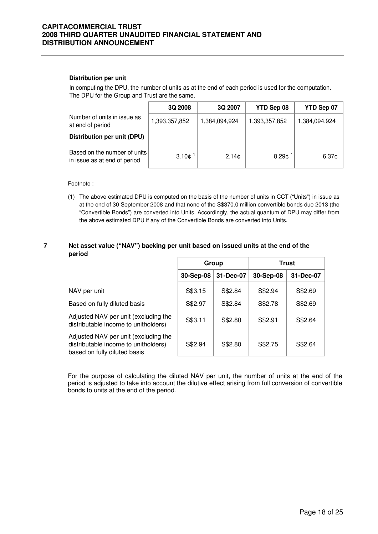#### **Distribution per unit**

In computing the DPU, the number of units as at the end of each period is used for the computation. The DPU for the Group and Trust are the same.

|                                                              | 3Q 2008               | 3Q 2007           | YTD Sep 08        | YTD Sep 07        |
|--------------------------------------------------------------|-----------------------|-------------------|-------------------|-------------------|
| Number of units in issue as<br>at end of period              | 1,393,357,852         | 1,384,094,924     | 1,393,357,852     | 1,384,094,924     |
| Distribution per unit (DPU)                                  |                       |                   |                   |                   |
| Based on the number of units<br>in issue as at end of period | $3.10$ ¢ <sup>1</sup> | 2.14 <sub>0</sub> | 8.29 <sub>¢</sub> | 6.37 <sub>¢</sub> |

Footnote :

(1) The above estimated DPU is computed on the basis of the number of units in CCT ("Units") in issue as at the end of 30 September 2008 and that none of the S\$370.0 million convertible bonds due 2013 (the "Convertible Bonds") are converted into Units. Accordingly, the actual quantum of DPU may differ from the above estimated DPU if any of the Convertible Bonds are converted into Units.

#### **7 Net asset value ("NAV") backing per unit based on issued units at the end of the period**

|                                                                                                              | Group     |           | Trust     |           |
|--------------------------------------------------------------------------------------------------------------|-----------|-----------|-----------|-----------|
|                                                                                                              | 30-Sep-08 | 31-Dec-07 | 30-Sep-08 | 31-Dec-07 |
| NAV per unit                                                                                                 | S\$3.15   | S\$2.84   | S\$2.94   | S\$2.69   |
| Based on fully diluted basis                                                                                 | S\$2.97   | S\$2.84   | S\$2.78   | S\$2.69   |
| Adjusted NAV per unit (excluding the<br>distributable income to unitholders)                                 | S\$3.11   | S\$2.80   | S\$2.91   | S\$2.64   |
| Adjusted NAV per unit (excluding the<br>distributable income to unitholders)<br>based on fully diluted basis | S\$2.94   | S\$2.80   | S\$2.75   | S\$2.64   |

For the purpose of calculating the diluted NAV per unit, the number of units at the end of the period is adjusted to take into account the dilutive effect arising from full conversion of convertible bonds to units at the end of the period.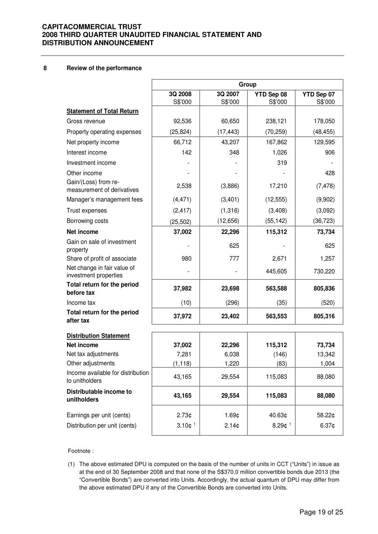#### **8 Review of the performance**

|                                                      | Group                 |                    |                       |                       |  |
|------------------------------------------------------|-----------------------|--------------------|-----------------------|-----------------------|--|
|                                                      | 3Q 2008<br>S\$'000    | 3Q 2007<br>S\$'000 | YTD Sep 08<br>S\$'000 | YTD Sep 07<br>S\$'000 |  |
| <b>Statement of Total Return</b>                     |                       |                    |                       |                       |  |
| Gross revenue                                        | 92,536                | 60,650             | 238,121               | 178,050               |  |
| Property operating expenses                          | (25, 824)             | (17, 443)          | (70, 259)             | (48, 455)             |  |
| Net property income                                  | 66,712                | 43,207             | 167,862               | 129,595               |  |
| Interest income                                      | 142                   | 348                | 1,026                 | 906                   |  |
| Investment income                                    |                       |                    | 319                   |                       |  |
| Other income                                         |                       |                    |                       | 428                   |  |
| Gain/(Loss) from re-<br>measurement of derivatives   | 2,538                 | (3,886)            | 17,210                | (7, 478)              |  |
| Manager's management fees                            | (4, 471)              | (3,401)            | (12, 555)             | (9,902)               |  |
| Trust expenses                                       | (2, 417)              | (1,316)            | (3,408)               | (3,092)               |  |
| Borrowing costs                                      | (25, 502)             | (12, 656)          | (55, 142)             | (36, 723)             |  |
| <b>Net income</b>                                    | 37,002                | 22,296             | 115,312               | 73,734                |  |
| Gain on sale of investment<br>property               |                       | 625                |                       | 625                   |  |
| Share of profit of associate                         | 980                   | 777                | 2,671                 | 1,257                 |  |
| Net change in fair value of<br>investment properties |                       |                    | 445,605               | 730,220               |  |
| Total return for the period<br>before tax            | 37,982                | 23,698             | 563,588               | 805,836               |  |
| Income tax                                           | (10)                  | (296)              | (35)                  | (520)                 |  |
| Total return for the period<br>after tax             | 37,972                | 23,402             | 563,553               | 805,316               |  |
| <b>Distribution Statement</b>                        |                       |                    |                       |                       |  |
| <b>Net income</b>                                    | 37,002                | 22,296             | 115,312               | 73,734                |  |
| Net tax adjustments                                  | 7,281                 | 6,038              | (146)                 | 13,342                |  |
| Other adjustments                                    | (1, 118)              | 1,220              | (83)                  | 1,004                 |  |
| Income available for distribution<br>to unitholders  | 43,165                | 29,554             | 115,083               | 88,080                |  |
| Distributable income to<br>unitholders               | 43,165                | 29,554             | 115,083               | 88,080                |  |
| Earnings per unit (cents)                            | $2.73$ ¢              | 1.69¢              | 40.63¢                | 58.22¢                |  |
| Distribution per unit (cents)                        | $3.10$ ¢ <sup>1</sup> | 2.14 <sub>¢</sub>  | $8.29$ ¢ <sup>1</sup> | 6.37 <sub>¢</sub>     |  |

#### Footnote :

(1) The above estimated DPU is computed on the basis of the number of units in CCT ("Units") in issue as at the end of 30 September 2008 and that none of the S\$370.0 million convertible bonds due 2013 (the "Convertible Bonds") are converted into Units. Accordingly, the actual quantum of DPU may differ from the above estimated DPU if any of the Convertible Bonds are converted into Units.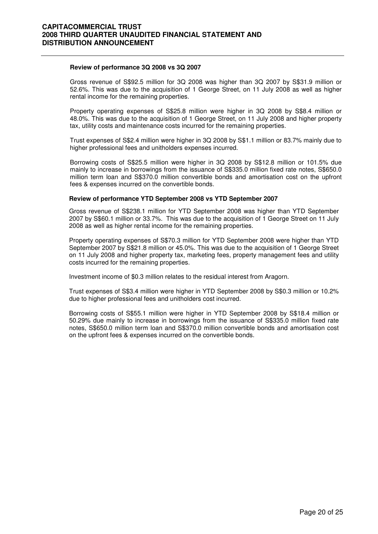#### **Review of performance 3Q 2008 vs 3Q 2007**

 Gross revenue of S\$92.5 million for 3Q 2008 was higher than 3Q 2007 by S\$31.9 million or 52.6%. This was due to the acquisition of 1 George Street, on 11 July 2008 as well as higher rental income for the remaining properties.

Property operating expenses of S\$25.8 million were higher in 3Q 2008 by S\$8.4 million or 48.0%. This was due to the acquisition of 1 George Street, on 11 July 2008 and higher property tax, utility costs and maintenance costs incurred for the remaining properties.

Trust expenses of S\$2.4 million were higher in 3Q 2008 by S\$1.1 million or 83.7% mainly due to higher professional fees and unitholders expenses incurred.

Borrowing costs of S\$25.5 million were higher in 3Q 2008 by S\$12.8 million or 101.5% due mainly to increase in borrowings from the issuance of S\$335.0 million fixed rate notes, S\$650.0 million term loan and S\$370.0 million convertible bonds and amortisation cost on the upfront fees & expenses incurred on the convertible bonds.

#### **Review of performance YTD September 2008 vs YTD September 2007**

 Gross revenue of S\$238.1 million for YTD September 2008 was higher than YTD September 2007 by S\$60.1 million or 33.7%. This was due to the acquisition of 1 George Street on 11 July 2008 as well as higher rental income for the remaining properties.

Property operating expenses of S\$70.3 million for YTD September 2008 were higher than YTD September 2007 by S\$21.8 million or 45.0%. This was due to the acquisition of 1 George Street on 11 July 2008 and higher property tax, marketing fees, property management fees and utility costs incurred for the remaining properties.

Investment income of \$0.3 million relates to the residual interest from Aragorn.

Trust expenses of S\$3.4 million were higher in YTD September 2008 by S\$0.3 million or 10.2% due to higher professional fees and unitholders cost incurred.

Borrowing costs of S\$55.1 million were higher in YTD September 2008 by S\$18.4 million or 50.29% due mainly to increase in borrowings from the issuance of S\$335.0 million fixed rate notes, S\$650.0 million term loan and S\$370.0 million convertible bonds and amortisation cost on the upfront fees & expenses incurred on the convertible bonds.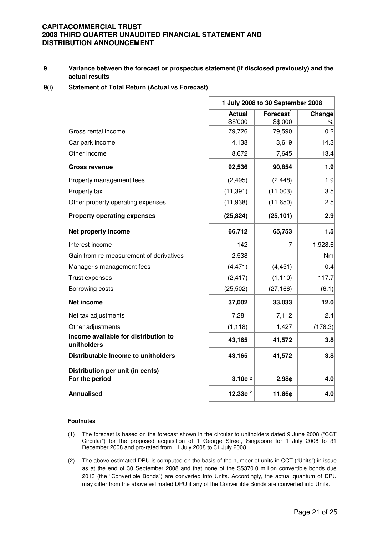#### **9 Variance between the forecast or prospectus statement (if disclosed previously) and the actual results**

#### **9(i) Statement of Total Return (Actual vs Forecast)**

|                                                     | 1 July 2008 to 30 September 2008 |                                  |                |  |
|-----------------------------------------------------|----------------------------------|----------------------------------|----------------|--|
|                                                     | <b>Actual</b><br>S\$'000         | $\mathsf{Forecast}^1$<br>S\$'000 | Change<br>$\%$ |  |
| Gross rental income                                 | 79,726                           | 79,590                           | 0.2            |  |
| Car park income                                     | 4,138                            | 3,619                            | 14.3           |  |
| Other income                                        | 8,672                            | 7,645                            | 13.4           |  |
| <b>Gross revenue</b>                                | 92,536                           | 90,854                           | 1.9            |  |
| Property management fees                            | (2, 495)                         | (2, 448)                         | 1.9            |  |
| Property tax                                        | (11, 391)                        | (11,003)                         | 3.5            |  |
| Other property operating expenses                   | (11, 938)                        | (11,650)                         | 2.5            |  |
| <b>Property operating expenses</b>                  | (25, 824)                        | (25, 101)                        | 2.9            |  |
| Net property income                                 | 66,712                           | 65,753                           | 1.5            |  |
| Interest income                                     | 142                              | 7                                | 1,928.6        |  |
| Gain from re-measurement of derivatives             | 2,538                            |                                  | Nm             |  |
| Manager's management fees                           | (4, 471)                         | (4, 451)                         | 0.4            |  |
| Trust expenses                                      | (2, 417)                         | (1, 110)                         | 117.7          |  |
| Borrowing costs                                     | (25, 502)                        | (27, 166)                        | (6.1)          |  |
| <b>Net income</b>                                   | 37,002                           | 33,033                           | 12.0           |  |
| Net tax adjustments                                 | 7,281                            | 7,112                            | 2.4            |  |
| Other adjustments                                   | (1, 118)                         | 1,427                            | (178.3)        |  |
| Income available for distribution to<br>unitholders | 43,165                           | 41,572                           | 3.8            |  |
| Distributable Income to unitholders                 | 43,165                           | 41,572                           | 3.8            |  |
| Distribution per unit (in cents)<br>For the period  | $3.10c$ <sup>2</sup>             | 2.98c                            | 4.0            |  |
| <b>Annualised</b>                                   | 12.33 $e^2$                      | 11.86¢                           | 4.0            |  |

#### **Footnotes**

- (1) The forecast is based on the forecast shown in the circular to unitholders dated 9 June 2008 ("CCT Circular") for the proposed acquisition of 1 George Street, Singapore for 1 July 2008 to 31 December 2008 and pro-rated from 11 July 2008 to 31 July 2008.
- (2) The above estimated DPU is computed on the basis of the number of units in CCT ("Units") in issue as at the end of 30 September 2008 and that none of the S\$370.0 million convertible bonds due 2013 (the "Convertible Bonds") are converted into Units. Accordingly, the actual quantum of DPU may differ from the above estimated DPU if any of the Convertible Bonds are converted into Units.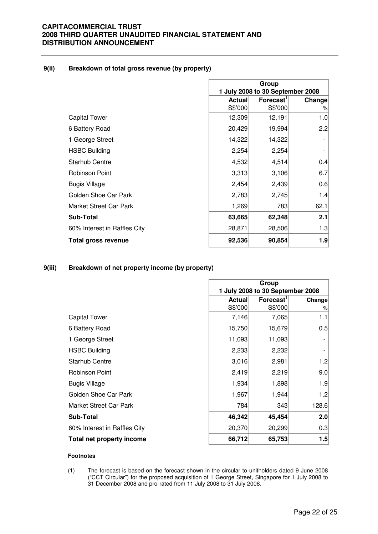#### **9(ii) Breakdown of total gross revenue (by property)**

|                              | Group                            |                             |        |
|------------------------------|----------------------------------|-----------------------------|--------|
|                              | 1 July 2008 to 30 September 2008 |                             |        |
|                              | <b>Actual</b>                    | $F$ orecast $^{\mathsf{T}}$ | Change |
|                              | S\$'000                          | S\$'000                     | %      |
| <b>Capital Tower</b>         | 12,309                           | 12,191                      | 1.0    |
| 6 Battery Road               | 20,429                           | 19,994                      | 2.2    |
| 1 George Street              | 14,322                           | 14,322                      |        |
| <b>HSBC Building</b>         | 2,254                            | 2,254                       |        |
| <b>Starhub Centre</b>        | 4,532                            | 4,514                       | 0.4    |
| Robinson Point               | 3,313                            | 3,106                       | 6.7    |
| <b>Bugis Village</b>         | 2,454                            | 2,439                       | 0.6    |
| Golden Shoe Car Park         | 2,783                            | 2,745                       | 1.4    |
| Market Street Car Park       | 1,269                            | 783                         | 62.1   |
| <b>Sub-Total</b>             | 63,665                           | 62,348                      | 2.1    |
| 60% Interest in Raffles City | 28,871                           | 28,506                      | 1.3    |
| Total gross revenue          | 92,536                           | 90,854                      | 1.9    |

## **9(iii) Breakdown of net property income (by property)**

|                              | Group                            |                       |        |
|------------------------------|----------------------------------|-----------------------|--------|
|                              | 1 July 2008 to 30 September 2008 |                       |        |
|                              | <b>Actual</b>                    | Forecast <sup>1</sup> | Change |
|                              | S\$'000                          | S\$'000               | %      |
| <b>Capital Tower</b>         | 7,146                            | 7,065                 | 1.1    |
| 6 Battery Road               | 15,750                           | 15,679                | 0.5    |
| 1 George Street              | 11,093                           | 11,093                |        |
| <b>HSBC Building</b>         | 2,233                            | 2,232                 |        |
| <b>Starhub Centre</b>        | 3,016                            | 2,981                 | 1.2    |
| Robinson Point               | 2,419                            | 2,219                 | 9.0    |
| <b>Bugis Village</b>         | 1,934                            | 1,898                 | 1.9    |
| Golden Shoe Car Park         | 1,967                            | 1,944                 | 1.2    |
| Market Street Car Park       | 784                              | 343                   | 128.6  |
| <b>Sub-Total</b>             | 46,342                           | 45,454                | 2.0    |
| 60% Interest in Raffles City | 20,370                           | 20,299                | 0.3    |
| Total net property income    | 66,712                           | 65,753                | 1.5    |

#### **Footnotes**

(1) The forecast is based on the forecast shown in the circular to unitholders dated 9 June 2008 ("CCT Circular") for the proposed acquisition of 1 George Street, Singapore for 1 July 2008 to 31 December 2008 and pro-rated from 11 July 2008 to 31 July 2008.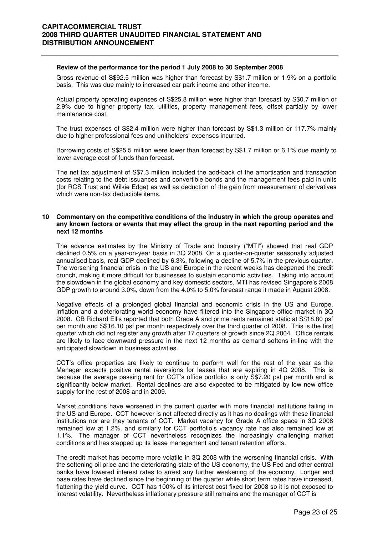#### **Review of the performance for the period 1 July 2008 to 30 September 2008**

 Gross revenue of S\$92.5 million was higher than forecast by S\$1.7 million or 1.9% on a portfolio basis. This was due mainly to increased car park income and other income.

Actual property operating expenses of S\$25.8 million were higher than forecast by S\$0.7 million or 2.9% due to higher property tax, utilities, property management fees, offset partially by lower maintenance cost.

The trust expenses of S\$2.4 million were higher than forecast by S\$1.3 million or 117.7% mainly due to higher professional fees and unitholders' expenses incurred.

Borrowing costs of S\$25.5 million were lower than forecast by S\$1.7 million or 6.1% due mainly to lower average cost of funds than forecast.

The net tax adjustment of S\$7.3 million included the add-back of the amortisation and transaction costs relating to the debt issuances and convertible bonds and the management fees paid in units (for RCS Trust and Wilkie Edge) as well as deduction of the gain from measurement of derivatives which were non-tax deductible items.

#### **10 Commentary on the competitive conditions of the industry in which the group operates and any known factors or events that may effect the group in the next reporting period and the next 12 months**

The advance estimates by the Ministry of Trade and Industry ("MTI") showed that real GDP declined 0.5% on a year-on-year basis in 3Q 2008. On a quarter-on-quarter seasonally adjusted annualised basis, real GDP declined by 6.3%, following a decline of 5.7% in the previous quarter. The worsening financial crisis in the US and Europe in the recent weeks has deepened the credit crunch, making it more difficult for businesses to sustain economic activities. Taking into account the slowdown in the global economy and key domestic sectors, MTI has revised Singapore's 2008 GDP growth to around 3.0%, down from the 4.0% to 5.0% forecast range it made in August 2008.

Negative effects of a prolonged global financial and economic crisis in the US and Europe, inflation and a deteriorating world economy have filtered into the Singapore office market in 3Q 2008. CB Richard Ellis reported that both Grade A and prime rents remained static at S\$18.80 psf per month and S\$16.10 psf per month respectively over the third quarter of 2008. This is the first quarter which did not register any growth after 17 quarters of growth since 2Q 2004. Office rentals are likely to face downward pressure in the next 12 months as demand softens in-line with the anticipated slowdown in business activities.

CCT's office properties are likely to continue to perform well for the rest of the year as the Manager expects positive rental reversions for leases that are expiring in 4Q 2008. This is because the average passing rent for CCT's office portfolio is only S\$7.20 psf per month and is significantly below market. Rental declines are also expected to be mitigated by low new office supply for the rest of 2008 and in 2009.

Market conditions have worsened in the current quarter with more financial institutions failing in the US and Europe. CCT however is not affected directly as it has no dealings with these financial institutions nor are they tenants of CCT. Market vacancy for Grade A office space in 3Q 2008 remained low at 1.2%, and similarly for CCT portfolio's vacancy rate has also remained low at 1.1%. The manager of CCT nevertheless recognizes the increasingly challenging market conditions and has stepped up its lease management and tenant retention efforts.

The credit market has become more volatile in 3Q 2008 with the worsening financial crisis. With the softening oil price and the deteriorating state of the US economy, the US Fed and other central banks have lowered interest rates to arrest any further weakening of the economy. Longer end base rates have declined since the beginning of the quarter while short term rates have increased, flattening the yield curve. CCT has 100% of its interest cost fixed for 2008 so it is not exposed to interest volatility. Nevertheless inflationary pressure still remains and the manager of CCT is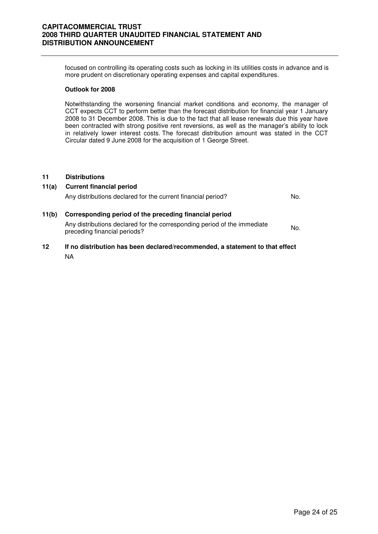focused on controlling its operating costs such as locking in its utilities costs in advance and is more prudent on discretionary operating expenses and capital expenditures.

#### **Outlook for 2008**

Notwithstanding the worsening financial market conditions and economy, the manager of CCT expects CCT to perform better than the forecast distribution for financial year 1 January 2008 to 31 December 2008. This is due to the fact that all lease renewals due this year have been contracted with strong positive rent reversions, as well as the manager's ability to lock in relatively lower interest costs. The forecast distribution amount was stated in the CCT Circular dated 9 June 2008 for the acquisition of 1 George Street.

#### **11 Distributions**

| 11(a) | <b>Current financial period</b><br>Any distributions declared for the current financial period?                                                                    | No. |
|-------|--------------------------------------------------------------------------------------------------------------------------------------------------------------------|-----|
| 11(b) | Corresponding period of the preceding financial period<br>Any distributions declared for the corresponding period of the immediate<br>preceding financial periods? | No. |

**12 If no distribution has been declared/recommended, a statement to that effect** NA